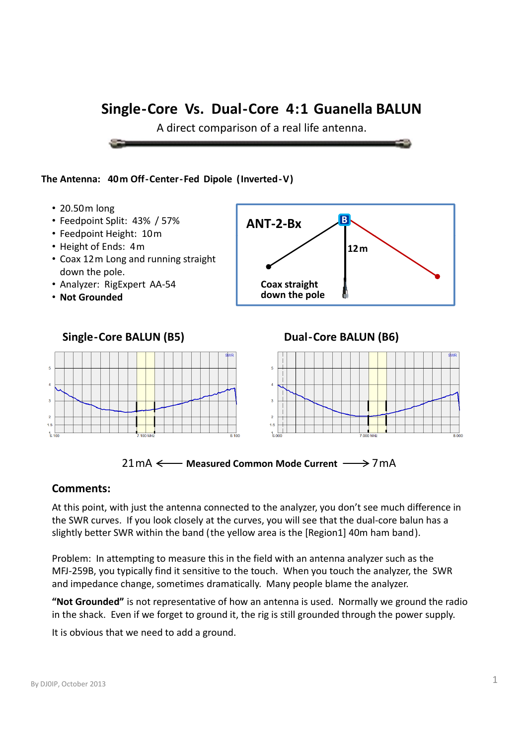A direct comparison of a real life antenna.

#### **The Antenna: 40m Off‐Center‐Fed Dipole (Inverted‐V )**

- 20.50m long
- Feedpoint Split: 43% / 57%
- Feedpoint Height: 10m
- Height of Ends: 4m
- Coax 12m Long and running straight down the pole.
- Analyzer: RigExpert AA‐54
- **Not Grounded**







#### **Comments:**

At this point, with just the antenna connected to the analyzer, you don't see much difference in the SWR curves. If you look closely at the curves, you will see that the dual-core balun has a slightly better SWR within the band ( the yellow area is the [Region1] 40m ham band ).

Problem: In attempting to measure this in the field with an antenna analyzer such as the MFJ‐259B, you typically find it sensitive to the touch. When you touch the analyzer, the SWR and impedance change, sometimes dramatically. Many people blame the analyzer.

"Not Grounded" is not representative of how an antenna is used. Normally we ground the radio in the shack. Even if we forget to ground it, the rig is still grounded through the power supply.

It is obvious that we need to add a ground.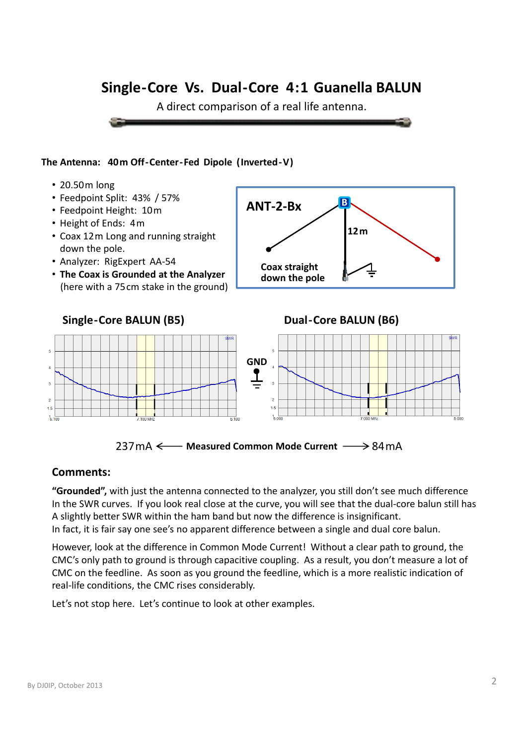A direct comparison of a real life antenna.



- 20.50m long
- Feedpoint Split: 43% / 57%
- Feedpoint Height: 10m
- Height of Ends: 4m
- Coax 12m Long and running straight down the pole.
- Analyzer: RigExpert AA‐54
- **The Coax is Grounded at the Analyzer** (here with a 75cm stake in the ground)







### **Comments:**

**"Grounded",** with just the antenna connected to the analyzer, you still don't see much difference In the SWR curves. If you look real close at the curve, you will see that the dual-core balun still has A slightly better SWR within the ham band but now the difference is insignificant. In fact, it is fair say one see's no apparent difference between a single and dual core balun.

However, look at the difference in Common Mode Current! Without a clear path to ground, the CMC's only path to ground is through capacitive coupling. As a result, you don't measure a lot of CMC on the feedline. As soon as you ground the feedline, which is a more realistic indication of real‐life conditions, the CMC rises considerably.

Let's not stop here. Let's continue to look at other examples.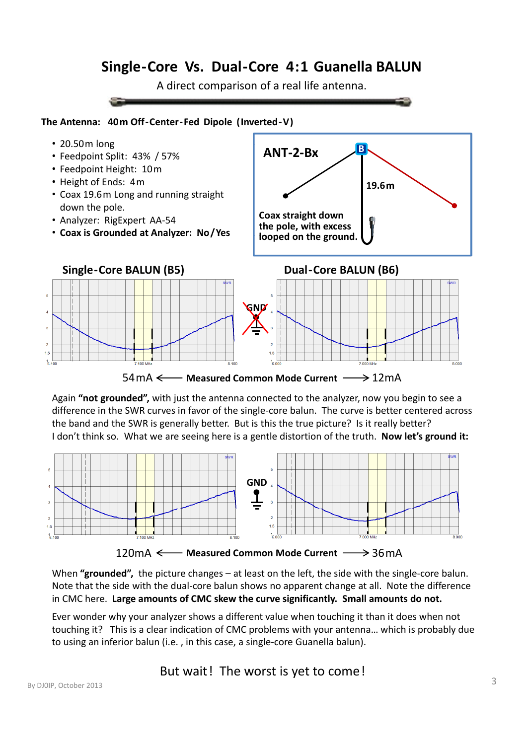A direct comparison of a real life antenna.



- 20.50m long
- Feedpoint Split: 43% / 57%
- Feedpoint Height: 10m
- Height of Ends: 4m
- Coax 19.6m Long and running straight down the pole.
- Analyzer: RigExpert AA‐54
- **Coax is Grounded at Analyzer: No/Yes**





54mA  $\leftarrow$  **Measured Common Mode Current**  $\longrightarrow$  12mA

Again **"not grounded",** with just the antenna connected to the analyzer, now you begin to see a difference in the SWR curves in favor of the single‐core balun. The curve is better centered across the band and the SWR is generally better. But is this the true picture? Is it really better? I don't think so. What we are seeing here is a gentle distortion of the truth. **Now let's ground it:**



When "grounded", the picture changes – at least on the left, the side with the single-core balun. Note that the side with the dual‐core balun shows no apparent change at all. Note the difference in CMC here **Large amounts of CMC skew the curve significantly Small amounts do not** here. **significantly. not.**

Ever wonder why your analyzer shows a different value when touching it than it does when not touching it? This is a clear indication of CMC problems with your antenna… which is probably due to using an inferior balun (i.e. , in this case, a single‐core Guanella balun).

But wait! The worst is yet to come!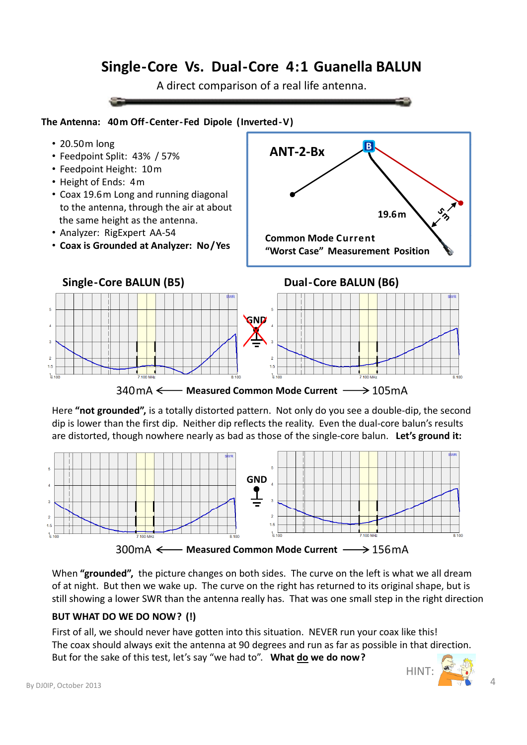A direct comparison of a real life antenna.

#### **The Antenna: 40m Off‐Center‐Fed Dipole (Inverted‐V )**

- 20.50m long
- 20.50m **<sup>B</sup>** Feedpoint Split: 43% / 57%
- Feedpoint Height: 10m
- Height of Ends: 4m
- Coax 19.6m Long and running diagonal to the antenna, through the air at about the same height as the antenna.
- 
- **Coax is Grounded at Analyzer: No/Yes**

• Analyzer: RigExpert AA-54 **Common Mode Current ANT‐2‐Bx 19.6m Common Mode Current"Worst Case" Measurement Position**



340mA  $\leftarrow$  **Measured Common Mode Current**  $\longrightarrow$  105mA

Here **"not grounded",** is a totally distorted pattern. Not only do you see a double‐dip, the second dip is lower than the first dip. Neither dip reflects the reality. Even the dual‐core balun's results are distorted, though nowhere nearly as bad as those of the single‐core balun. **Let's ground it:**



When "grounded", the picture changes on both sides. The curve on the left is what we all dream of at night. But then we wake up. The curve on the right has returned to its original shape, but is still showing a lower SWR than the antenna really has. That was one small step in the right direction

#### **BUT WHAT DO WE DO NOW? (!)**

First of all, we should never have gotten into this situation. NEVER run your coax like this! The coax should always exit the antenna at 90 degrees and run as far as possible in that direction. But for the sake of this test, let's say "we had to". **What do we do now?**

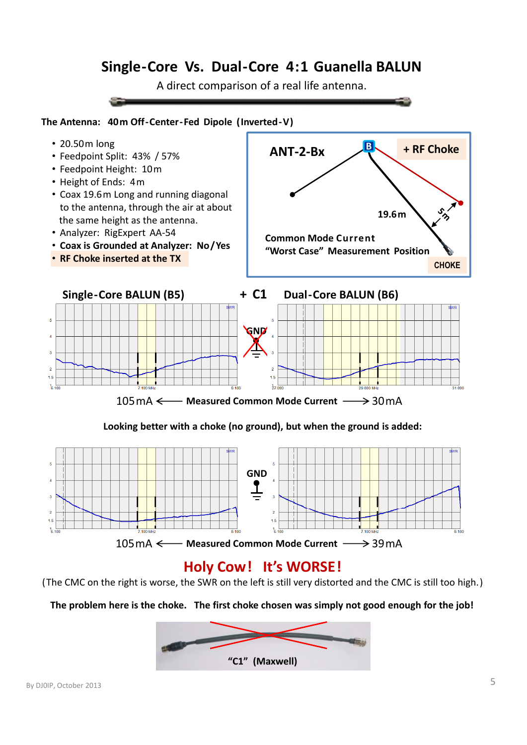A direct comparison of a real life antenna.

#### **The Antenna: 40m Off‐Center‐Fed Dipole (Inverted‐V )**



**Looking better with a choke (no ground), but when the ground is added:**



# **Holy Cow! It's WORSE!**

(The CMC on the right is worse, the SWR on the left is still very distorted and the CMC is still too high. )

The problem here is the choke. The first choke chosen was simply not good enough for the job!

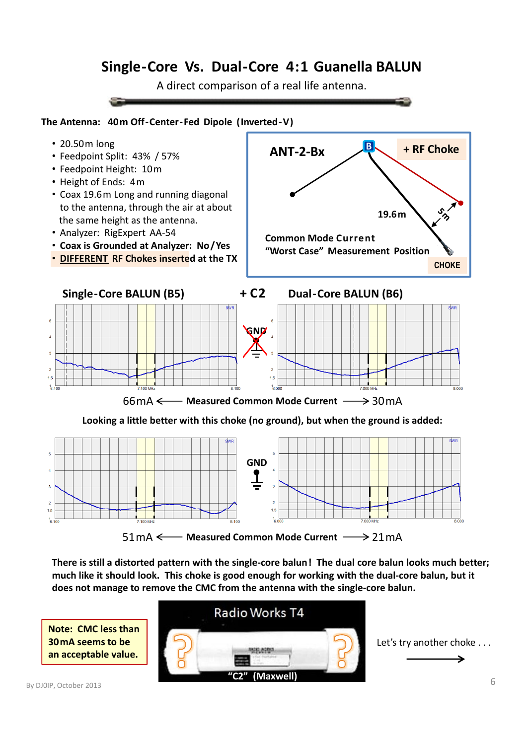A direct comparison of a real life antenna.

#### **The Antenna: 40m Off‐Center‐Fed Dipole (Inverted‐V )**



- 
- Feedpoint Height: 10m
- Height of Ends: 4m
- Coax 19.6m Long and running diagonal to the antenna, through the air at about the same height as the antenna.
- 
- **Coax is Grounded at Analyzer: No/Yes**
- **DIFFERENT RF Chokes inserted at the TX**





Looking a little better with this choke (no ground), but when the ground is added:



There is still a distorted pattern with the single-core balun! The dual core balun looks much better; much like it should look. This choke is good enough for working with the dual-core balun, but it **does not manage to remove the CMC from the antenna with the single‐core balun.**



Let's try another choke . . .

**Note: CMC less than 30mA seems to be an acceptable value.**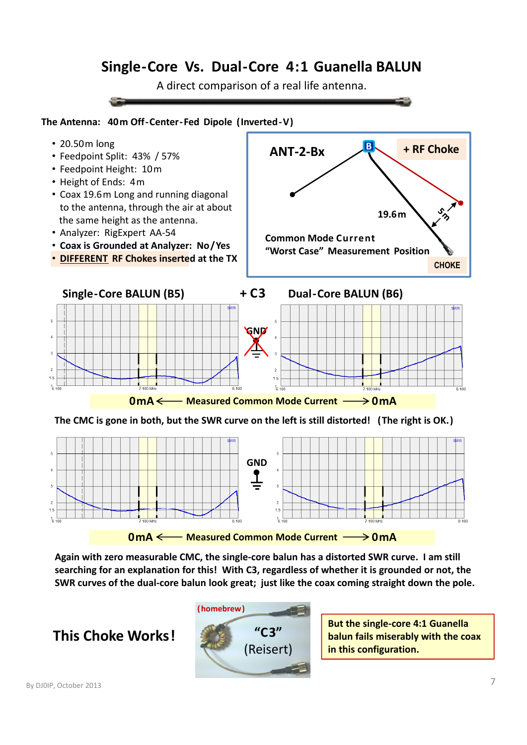A direct comparison of a real life antenna.

#### **The Antenna: 40m Off‐Center‐Fed Dipole (Inverted‐V )**



- 
- Feedpoint Height: 10m
- Height of Ends: 4m
- Coax 19.6m Long and running diagonal to the antenna, through the air at about the same height as the antenna.
- 
- **Coax is Grounded at Analyzer: No/Yes**
- **DIFFERENT RF Chokes inserted at the TX**





The CMC is gone in both, but the SWR curve on the left is still distorted! (The right is OK.)



Again with zero measurable CMC, the single-core balun has a distorted SWR curve. I am still **searching for an explanation for this! With C3, regardless of whether it is grounded or not, the** SWR curves of the dual-core balun look great; just like the coax coming straight down the pole.

**This Choke Works!**



**But the single‐core 4:1 Guanella balun fails miserably with the coax in this configuration.**